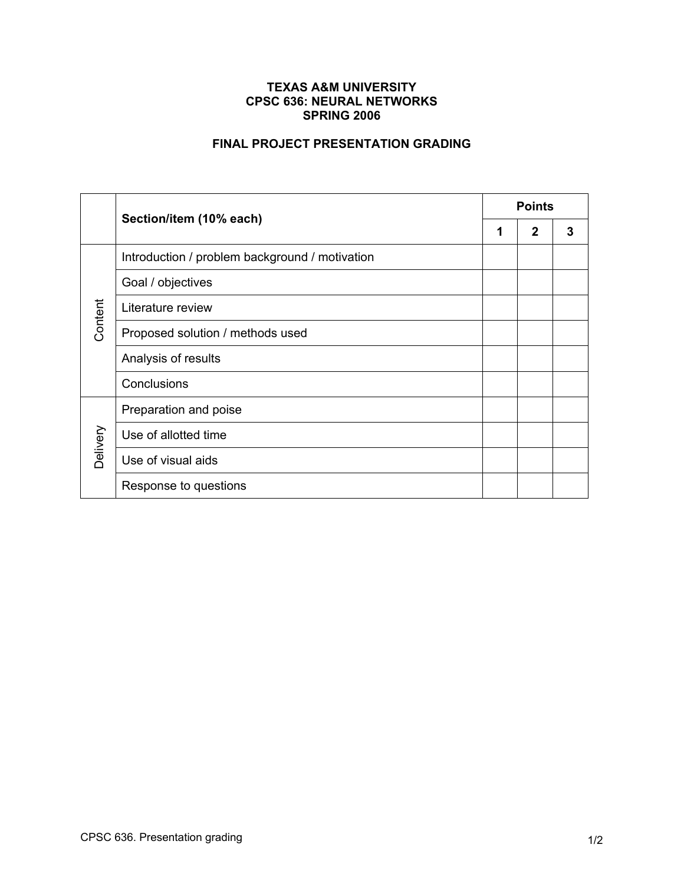## **TEXAS A&M UNIVERSITY CPSC 636: NEURAL NETWORKS SPRING 2006**

## **FINAL PROJECT PRESENTATION GRADING**

|          | Section/item (10% each)                        | <b>Points</b> |             |   |
|----------|------------------------------------------------|---------------|-------------|---|
|          |                                                | 1             | $\mathbf 2$ | 3 |
| Content  | Introduction / problem background / motivation |               |             |   |
|          | Goal / objectives                              |               |             |   |
|          | Literature review                              |               |             |   |
|          | Proposed solution / methods used               |               |             |   |
|          | Analysis of results                            |               |             |   |
|          | Conclusions                                    |               |             |   |
| Delivery | Preparation and poise                          |               |             |   |
|          | Use of allotted time                           |               |             |   |
|          | Use of visual aids                             |               |             |   |
|          | Response to questions                          |               |             |   |